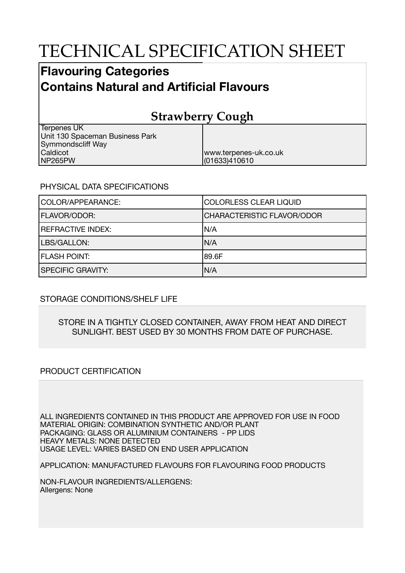# TECHNICAL SPECIFICATION SHEET

## **Flavouring Categories Contains Natural and Artificial Flavours**

## **Strawberry Cough**

| Terpenes UK                     |                       |
|---------------------------------|-----------------------|
| Unit 130 Spaceman Business Park |                       |
| Symmondscliff Way               |                       |
| Caldicot                        | www.terpenes-uk.co.uk |
| NP265PW                         | (01633)410610         |

#### PHYSICAL DATA SPECIFICATIONS

| COLOR/APPEARANCE:        | <b>COLORLESS CLEAR LIQUID</b>     |
|--------------------------|-----------------------------------|
| <b>FLAVOR/ODOR:</b>      | <b>CHARACTERISTIC FLAVOR/ODOR</b> |
| <b>REFRACTIVE INDEX:</b> | IN/A                              |
| LBS/GALLON:              | IN/A                              |
| <b>FLASH POINT:</b>      | 189.6F                            |
| <b>SPECIFIC GRAVITY:</b> | N/A                               |

### STORAGE CONDITIONS/SHELF LIFE

#### STORE IN A TIGHTLY CLOSED CONTAINER, AWAY FROM HEAT AND DIRECT SUNLIGHT. BEST USED BY 30 MONTHS FROM DATE OF PURCHASE.

#### PRODUCT CERTIFICATION

ALL INGREDIENTS CONTAINED IN THIS PRODUCT ARE APPROVED FOR USE IN FOOD MATERIAL ORIGIN: COMBINATION SYNTHETIC AND/OR PLANT PACKAGING: GLASS OR ALUMINIUM CONTAINERS - PP LIDS HEAVY METALS: NONE DETECTED USAGE LEVEL: VARIES BASED ON END USER APPLICATION

APPLICATION: MANUFACTURED FLAVOURS FOR FLAVOURING FOOD PRODUCTS

NON-FLAVOUR INGREDIENTS/ALLERGENS: Allergens: None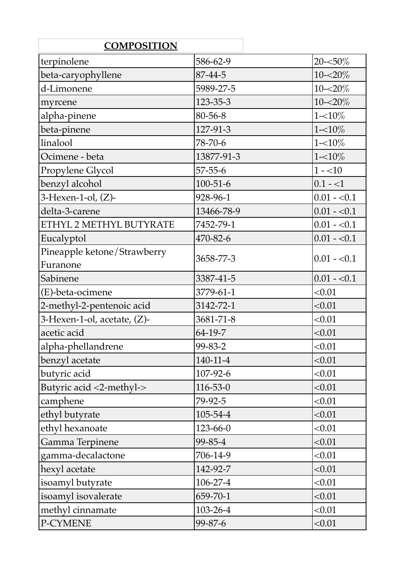| <b>COMPOSITION</b>             |                |              |
|--------------------------------|----------------|--------------|
| terpinolene                    | 586-62-9       | 20-<50%      |
| beta-caryophyllene             | 87-44-5        | $10 - 20\%$  |
| d-Limonene                     | 5989-27-5      | $10 - 20\%$  |
| myrcene                        | 123-35-3       | 10-<20%      |
| alpha-pinene                   | 80-56-8        | $1 - 10\%$   |
| beta-pinene                    | 127-91-3       | $1 - 10\%$   |
| linalool                       | 78-70-6        | $1 - 10\%$   |
| Ocimene - beta                 | 13877-91-3     | $1 - 10\%$   |
| Propylene Glycol               | $57 - 55 - 6$  | $1 - 10$     |
| benzyl alcohol                 | $100 - 51 - 6$ | $0.1 - 1$    |
| $3$ -Hexen-1-ol, $(Z)$ -       | 928-96-1       | $0.01 - 0.1$ |
| delta-3-carene                 | 13466-78-9     | $0.01 - 0.1$ |
| ETHYL 2 METHYL BUTYRATE        | 7452-79-1      | $0.01 - 0.1$ |
| Eucalyptol                     | 470-82-6       | $0.01 - 0.1$ |
| Pineapple ketone/Strawberry    |                |              |
| Furanone                       | 3658-77-3      | $0.01 - 0.1$ |
| Sabinene                       | 3387-41-5      | $0.01 - 0.1$ |
| (E)-beta-ocimene               | 3779-61-1      | < 0.01       |
| 2-methyl-2-pentenoic acid      | 3142-72-1      | < 0.01       |
| 3-Hexen-1-ol, acetate, $(Z)$ - | 3681-71-8      | < 0.01       |
| acetic acid                    | 64-19-7        | < 0.01       |
| alpha-phellandrene             | 99-83-2        | < 0.01       |
| benzyl acetate                 | $140 - 11 - 4$ | < 0.01       |
| butyric acid                   | 107-92-6       | < 0.01       |
| Butyric acid <2-methyl->       | $116 - 53 - 0$ | < 0.01       |
| camphene                       | 79-92-5        | < 0.01       |
| ethyl butyrate                 | 105-54-4       | < 0.01       |
| ethyl hexanoate                | 123-66-0       | < 0.01       |
| Gamma Terpinene                | 99-85-4        | < 0.01       |
| gamma-decalactone              | 706-14-9       | < 0.01       |
| hexyl acetate                  | 142-92-7       | < 0.01       |
| isoamyl butyrate               | 106-27-4       | < 0.01       |
| isoamyl isovalerate            | 659-70-1       | < 0.01       |
| methyl cinnamate               | 103-26-4       | < 0.01       |
| P-CYMENE                       | 99-87-6        | < 0.01       |